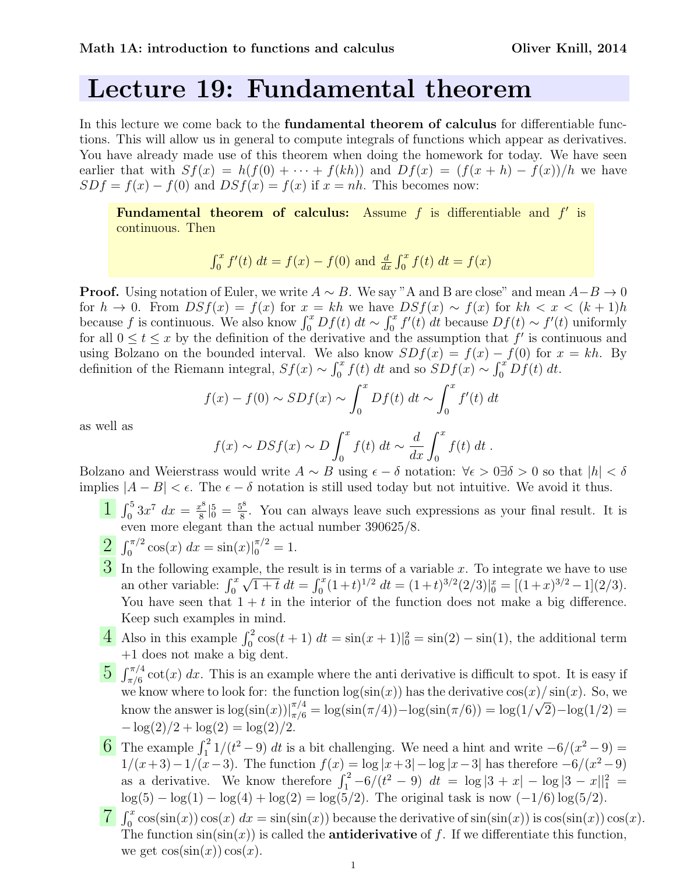## Lecture 19: Fundamental theorem

In this lecture we come back to the **fundamental theorem of calculus** for differentiable functions. This will allow us in general to compute integrals of functions which appear as derivatives. You have already made use of this theorem when doing the homework for today. We have seen earlier that with  $Sf(x) = h(f(0) + \cdots + f(kh))$  and  $Df(x) = (f(x+h) - f(x))/h$  we have  $SDf = f(x) - f(0)$  and  $DSf(x) = f(x)$  if  $x = nh$ . This becomes now:

Fundamental theorem of calculus: Assume  $f$  is differentiable and  $f'$  is continuous. Then

$$
\int_0^x f'(t) \, dt = f(x) - f(0) \text{ and } \frac{d}{dx} \int_0^x f(t) \, dt = f(x)
$$

**Proof.** Using notation of Euler, we write  $A \sim B$ . We say "A and B are close" and mean  $A-B \to 0$ for  $h \to 0$ . From  $DSf(x) = f(x)$  for  $x = kh$  we have  $DSf(x) \sim f(x)$  for  $kh < x < (k+1)h$ because f is continuous. We also know  $\int_0^x Df(t) dt \sim \int_0^x f'(t) dt$  because  $Df(t) \sim f'(t)$  uniformly for all  $0 \le t \le x$  by the definition of the derivative and the assumption that f' is continuous and using Bolzano on the bounded interval. We also know  $SDf(x) = f(x) - f(0)$  for  $x = kh$ . By definition of the Riemann integral,  $Sf(x) \sim \int_0^x f(t) dt$  and so  $S\ddot{D}f(x) \sim \int_0^x \ddot{D}f(t) dt$ .

$$
f(x) - f(0) \sim SDf(x) \sim \int_0^x Df(t) dt \sim \int_0^x f'(t) dt
$$

as well as

$$
f(x) \sim DSf(x) \sim D \int_0^x f(t) dt \sim \frac{d}{dx} \int_0^x f(t) dt
$$
.

Bolzano and Weierstrass would write  $A \sim B$  using  $\epsilon - \delta$  notation:  $\forall \epsilon > 0 \exists \delta > 0$  so that  $|h| < \delta$ implies  $|A - B| < \epsilon$ . The  $\epsilon - \delta$  notation is still used today but not intuitive. We avoid it thus.

- $\int_0^5 3x^7 dx = \frac{x^8}{8}$  $\frac{x^8}{8}\big|_0^5 = \frac{5^8}{8}$  $\frac{3^8}{8}$ . You can always leave such expressions as your final result. It is even more elegant than the actual number 390625/8.
- $\int_0^{\pi/2} \cos(x) \, dx = \sin(x) \big|_0^{\pi/2} = 1.$
- $3$  In the following example, the result is in terms of a variable x. To integrate we have to use an other variable:  $\int_0^x$ √  $\overline{1+t} dt = \int_0^x (1+t)^{1/2} dt = (1+t)^{3/2} (2/3) \vert_0^x = \overline{[(1+x)^{3/2} - 1]} (2/3).$ You have seen that  $1 + t$  in the interior of the function does not make a big difference. Keep such examples in mind.
- 4 Also in this example  $\int_0^2 \cos(t+1) dt = \sin(x+1)|_0^2 = \sin(2) \sin(1)$ , the additional term +1 does not make a big dent.
- $\frac{5}{2} \int_{\pi/6}^{\pi/4} \cot(x) dx$ . This is an example where the anti derivative is difficult to spot. It is easy if we know where to look for: the function  $\log(\sin(x))$  has the derivative  $\cos(x)/\sin(x)$ . So, we know the answer is  $\log(\sin(x))|_{\pi/6}^{\pi/4} = \log(\sin(\pi/4)) - \log(\sin(\pi/6)) = \log(1/4)$ √  $2)-\log(1/2) =$  $-\log(2)/2 + \log(2) = \log(2)/2.$
- 6 The example  $\int_1^2 1/(t^2-9) dt$  is a bit challenging. We need a hint and write  $-6/(x^2-9)$  = 1/(x+3)−1/(x−3). The function  $f(x) = \log |x+3| - \log |x-3|$  has therefore  $-6/(x^2-9)$ as a derivative. We know therefore  $\int_1^2 -6/(t^2 - 9) dt = \log |3 + x| - \log |3 - x||_1^2 =$  $\log(5) - \log(1) - \log(4) + \log(2) = \log(5/2)$ . The original task is now  $(-1/6) \log(5/2)$ .
- $\overline{7}\int_0^x \cos(\sin(x))\cos(x) dx = \sin(\sin(x))$  because the derivative of  $\sin(\sin(x))$  is  $\cos(\sin(x))\cos(x)$ . The function  $sin(sin(x))$  is called the **antiderivative** of f. If we differentiate this function, we get  $\cos(\sin(x)) \cos(x)$ .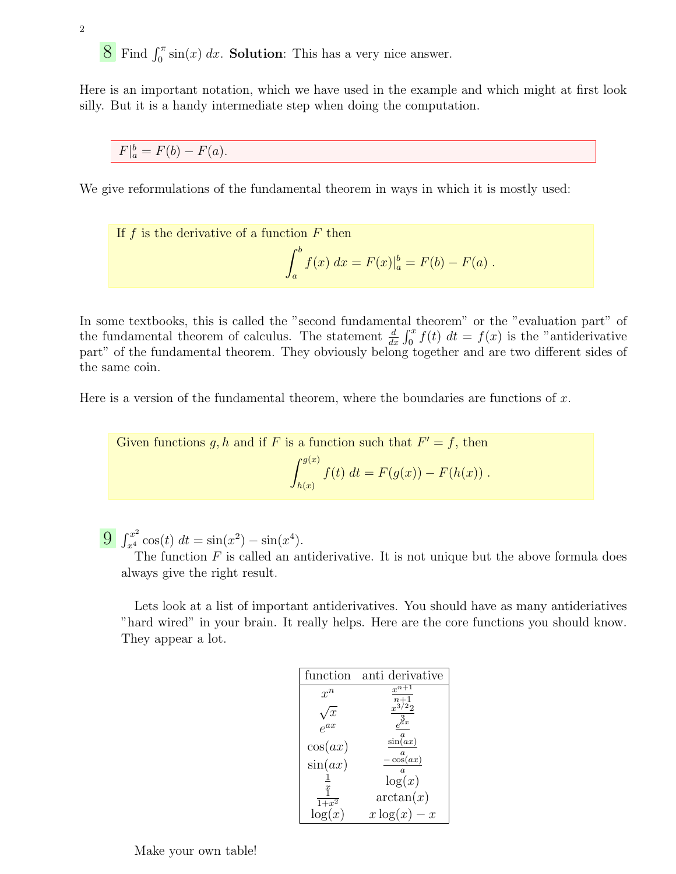$8 \text{ Find } \int_0^{\pi} \sin(x) dx$ . Solution: This has a very nice answer.

Here is an important notation, which we have used in the example and which might at first look silly. But it is a handy intermediate step when doing the computation.

 $F|_a^b = F(b) - F(a).$ 

We give reformulations of the fundamental theorem in ways in which it is mostly used:

If 
$$
f
$$
 is the derivative of a function  
  $F$  then 
$$
\int_a^b f(x) \ dx = F(x)|_a^b = F(b) - F(a) \ .
$$

In some textbooks, this is called the "second fundamental theorem" or the "evaluation part" of the fundamental theorem of calculus. The statement  $\frac{d}{dx} \int_0^x f(t) dt = f(x)$  is the "antiderivative part" of the fundamental theorem. They obviously belong together and are two different sides of the same coin.

Here is a version of the fundamental theorem, where the boundaries are functions of  $x$ .

Given functions 
$$
g, h
$$
 and if  $F$  is a function such that  $F' = f$ , then  
\n
$$
\int_{h(x)}^{g(x)} f(t) dt = F(g(x)) - F(h(x)) .
$$

 $\int_{x^4}^{x^2} \cos(t) dt = \sin(x^2) - \sin(x^4).$ 

The function  $F$  is called an antiderivative. It is not unique but the above formula does always give the right result.

Lets look at a list of important antiderivatives. You should have as many antideriatives "hard wired" in your brain. It really helps. Here are the core functions you should know. They appear a lot.

| function           | anti derivative                 |
|--------------------|---------------------------------|
| $r^n$              |                                 |
|                    |                                 |
|                    |                                 |
| cos(ax)            | $\sin\left(\frac{a}{ax}\right)$ |
| $\sin(ax)$         | $\cos(ax)$                      |
|                    | $\log(x)$                       |
| $\boldsymbol{x}$   |                                 |
| $\overline{1+x^2}$ | arctan(x)                       |
| $\log(x)$          | $x \log(x)$<br>$-x$             |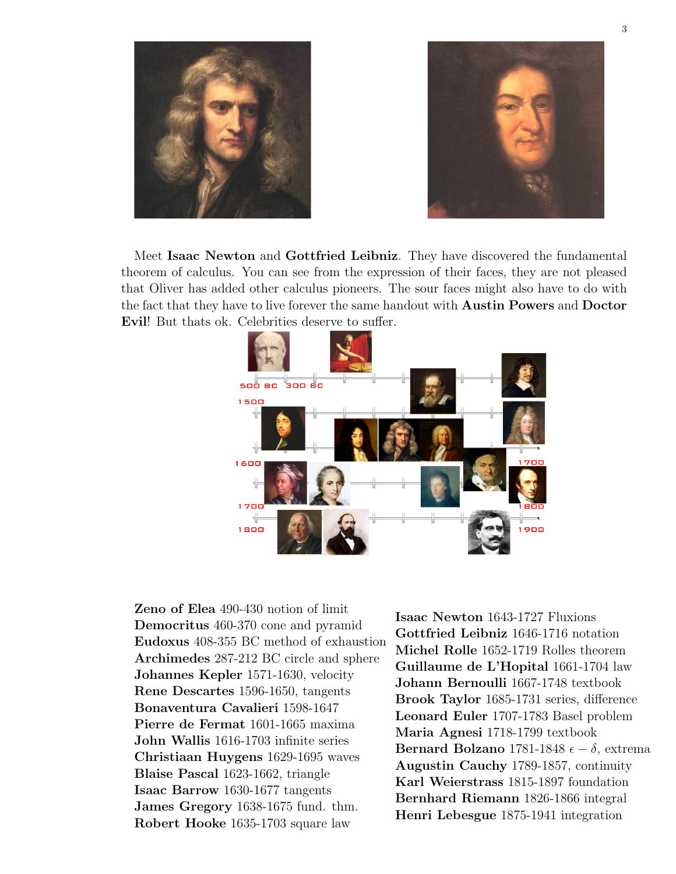



Meet Isaac Newton and Gottfried Leibniz. They have discovered the fundamental theorem of calculus. You can see from the expression of their faces, they are not pleased that Oliver has added other calculus pioneers. The sour faces might also have to do with the fact that they have to live forever the same handout with Austin Powers and Doctor Evil! But thats ok. Celebrities deserve to suffer.



Zeno of Elea 490-430 notion of limit Democritus 460-370 cone and pyramid Eudoxus 408-355 BC method of exhaustion Archimedes 287-212 BC circle and sphere Johannes Kepler 1571-1630, velocity Rene Descartes 1596-1650, tangents Bonaventura Cavalieri 1598-1647 Pierre de Fermat 1601-1665 maxima John Wallis 1616-1703 infinite series Christiaan Huygens 1629-1695 waves Blaise Pascal 1623-1662, triangle Isaac Barrow 1630-1677 tangents James Gregory 1638-1675 fund. thm. Robert Hooke 1635-1703 square law

Isaac Newton 1643-1727 Fluxions Gottfried Leibniz 1646-1716 notation Michel Rolle 1652-1719 Rolles theorem Guillaume de L'Hopital 1661-1704 law Johann Bernoulli 1667-1748 textbook Brook Taylor 1685-1731 series, difference Leonard Euler 1707-1783 Basel problem Maria Agnesi 1718-1799 textbook Bernard Bolzano 1781-1848  $\epsilon - \delta$ , extrema Augustin Cauchy 1789-1857, continuity Karl Weierstrass 1815-1897 foundation Bernhard Riemann 1826-1866 integral Henri Lebesgue 1875-1941 integration